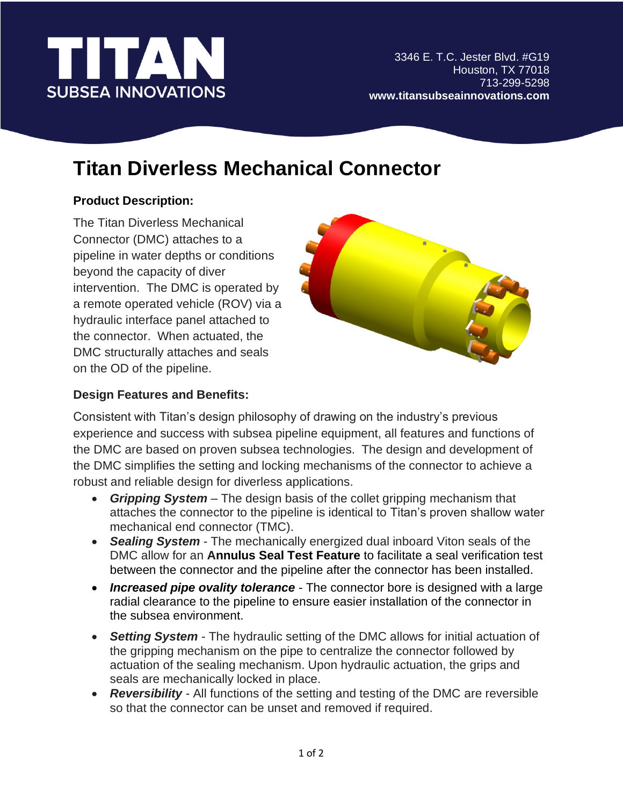

l

# **Titan Diverless Mechanical Connector**

## **Product Description:**

The Titan Diverless Mechanical Connector (DMC) attaches to a pipeline in water depths or conditions beyond the capacity of diver intervention. The DMC is operated by a remote operated vehicle (ROV) via a hydraulic interface panel attached to the connector. When actuated, the DMC structurally attaches and seals on the OD of the pipeline.



### **Design Features and Benefits:**

Consistent with Titan's design philosophy of drawing on the industry's previous experience and success with subsea pipeline equipment, all features and functions of the DMC are based on proven subsea technologies. The design and development of the DMC simplifies the setting and locking mechanisms of the connector to achieve a robust and reliable design for diverless applications.

- *Gripping System* The design basis of the collet gripping mechanism that attaches the connector to the pipeline is identical to Titan's proven shallow water mechanical end connector (TMC).
- *Sealing System* The mechanically energized dual inboard Viton seals of the DMC allow for an **Annulus Seal Test Feature** to facilitate a seal verification test between the connector and the pipeline after the connector has been installed.
- *Increased pipe ovality tolerance* The connector bore is designed with a large radial clearance to the pipeline to ensure easier installation of the connector in the subsea environment.
- *Setting System* The hydraulic setting of the DMC allows for initial actuation of the gripping mechanism on the pipe to centralize the connector followed by actuation of the sealing mechanism. Upon hydraulic actuation, the grips and seals are mechanically locked in place.
- *Reversibility* All functions of the setting and testing of the DMC are reversible so that the connector can be unset and removed if required.